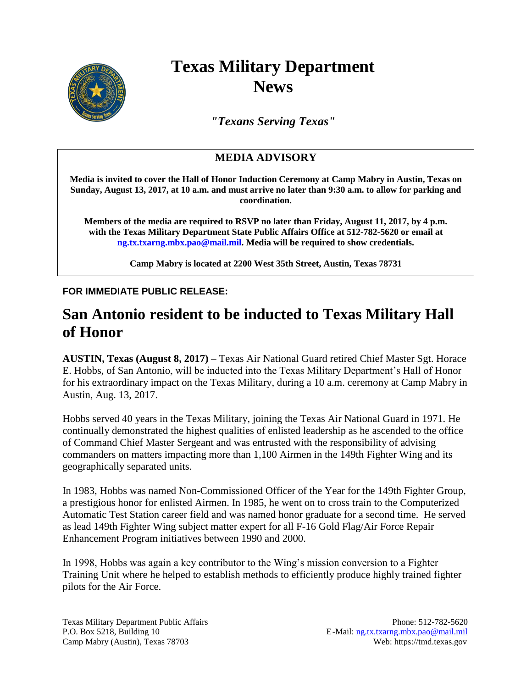

## **Texas Military Department News**

*"Texans Serving Texas"*

## **MEDIA ADVISORY**

**Media is invited to cover the Hall of Honor Induction Ceremony at Camp Mabry in Austin, Texas on Sunday, August 13, 2017, at 10 a.m. and must arrive no later than 9:30 a.m. to allow for parking and coordination.**

**Members of the media are required to RSVP no later than Friday, August 11, 2017, by 4 p.m. with the Texas Military Department State Public Affairs Office at 512-782-5620 or email at [ng.tx.txarng.mbx.pao@mail.mil.](mailto:ng.tx.txarng.mbx.pao@mail.mil) Media will be required to show credentials.**

**Camp Mabry is located at 2200 West 35th Street, Austin, Texas 78731**

## **FOR IMMEDIATE PUBLIC RELEASE:**

## **San Antonio resident to be inducted to Texas Military Hall of Honor**

**AUSTIN, Texas (August 8, 2017)** – Texas Air National Guard retired Chief Master Sgt. Horace E. Hobbs, of San Antonio, will be inducted into the Texas Military Department's Hall of Honor for his extraordinary impact on the Texas Military, during a 10 a.m. ceremony at Camp Mabry in Austin, Aug. 13, 2017.

Hobbs served 40 years in the Texas Military, joining the Texas Air National Guard in 1971. He continually demonstrated the highest qualities of enlisted leadership as he ascended to the office of Command Chief Master Sergeant and was entrusted with the responsibility of advising commanders on matters impacting more than 1,100 Airmen in the 149th Fighter Wing and its geographically separated units.

In 1983, Hobbs was named Non-Commissioned Officer of the Year for the 149th Fighter Group, a prestigious honor for enlisted Airmen. In 1985, he went on to cross train to the Computerized Automatic Test Station career field and was named honor graduate for a second time. He served as lead 149th Fighter Wing subject matter expert for all F-16 Gold Flag/Air Force Repair Enhancement Program initiatives between 1990 and 2000.

In 1998, Hobbs was again a key contributor to the Wing's mission conversion to a Fighter Training Unit where he helped to establish methods to efficiently produce highly trained fighter pilots for the Air Force.